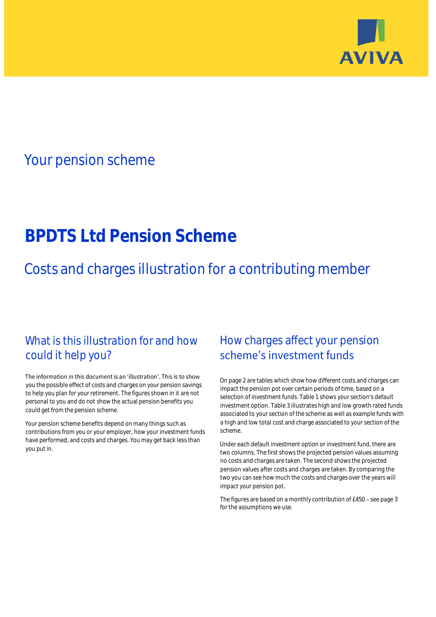

## Your pension scheme

# **BPDTS Ltd Pension Scheme**

Costs and charges illustration for a contributing member

### What is this illustration for and how could it help you?

#### The information in this document is an 'illustration'. This is to show you the possible effect of costs and charges on your pension savings to help you plan for your retirement. The figures shown in it are not personal to you and do not show the actual pension benefits you could get from the pension scheme.

Your pension scheme benefits depend on many things such as contributions from you or your employer, how your investment funds have performed, and costs and charges. You may get back less than you put in.

### How charges affect your pension scheme's investment funds

On page 2 are tables which show how different costs and charges can impact the pension pot over certain periods of time, based on a selection of investment funds. Table 1 shows your section's default investment option. Table 3 illustrates high and low growth rated funds associated to your section of the scheme as well as example funds with a high and low total cost and charge associated to your section of the scheme.

Under each default investment option or investment fund, there are two columns. The first shows the projected pension values assuming no costs and charges are taken. The second shows the projected pension values after costs and charges are taken. By comparing the two you can see how much the costs and charges over the years will impact your pension pot.

The figures are based on a monthly contribution of £450 - see page 3 for the assumptions we use.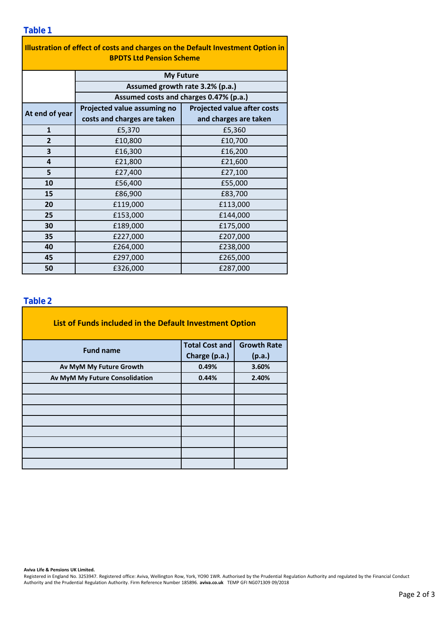| Illustration of effect of costs and charges on the Default Investment Option in<br><b>BPDTS Ltd Pension Scheme</b> |                                                                                               |                                    |  |  |  |  |  |  |
|--------------------------------------------------------------------------------------------------------------------|-----------------------------------------------------------------------------------------------|------------------------------------|--|--|--|--|--|--|
|                                                                                                                    | <b>My Future</b><br>Assumed growth rate 3.2% (p.a.)<br>Assumed costs and charges 0.47% (p.a.) |                                    |  |  |  |  |  |  |
|                                                                                                                    |                                                                                               |                                    |  |  |  |  |  |  |
|                                                                                                                    |                                                                                               |                                    |  |  |  |  |  |  |
| At end of year                                                                                                     | Projected value assuming no                                                                   | <b>Projected value after costs</b> |  |  |  |  |  |  |
|                                                                                                                    | costs and charges are taken                                                                   | and charges are taken              |  |  |  |  |  |  |
| $\mathbf{1}$                                                                                                       | £5,370                                                                                        | £5,360                             |  |  |  |  |  |  |
| $\overline{2}$                                                                                                     | £10,800                                                                                       | £10,700                            |  |  |  |  |  |  |
| 3                                                                                                                  | £16,300                                                                                       | £16,200                            |  |  |  |  |  |  |
| 4                                                                                                                  | £21,800                                                                                       | £21,600                            |  |  |  |  |  |  |
| 5                                                                                                                  | £27,400                                                                                       | £27,100                            |  |  |  |  |  |  |
| 10                                                                                                                 | £56,400                                                                                       | £55,000                            |  |  |  |  |  |  |
| 15                                                                                                                 | £86,900                                                                                       | £83,700                            |  |  |  |  |  |  |
| 20                                                                                                                 | £119,000                                                                                      | £113,000                           |  |  |  |  |  |  |
| 25                                                                                                                 | £153,000                                                                                      | £144,000                           |  |  |  |  |  |  |
| 30                                                                                                                 | £189,000                                                                                      | £175,000                           |  |  |  |  |  |  |
| 35                                                                                                                 | £227,000                                                                                      | £207,000                           |  |  |  |  |  |  |
| 40                                                                                                                 | £264,000                                                                                      | £238,000                           |  |  |  |  |  |  |
| 45                                                                                                                 | £297,000                                                                                      | £265,000                           |  |  |  |  |  |  |
| 50                                                                                                                 | £326,000                                                                                      | £287,000                           |  |  |  |  |  |  |

÷,

### **Table 2**

| List of Funds included in the Default Investment Option |                         |                    |
|---------------------------------------------------------|-------------------------|--------------------|
| <b>Fund name</b>                                        | <b>Total Cost and</b>   | <b>Growth Rate</b> |
|                                                         | Charge (p.a.)<br>(p.a.) |                    |
| Av MyM My Future Growth                                 | 0.49%                   | 3.60%              |
| Av MyM My Future Consolidation                          | 0.44%                   | 2.40%              |
|                                                         |                         |                    |
|                                                         |                         |                    |
|                                                         |                         |                    |
|                                                         |                         |                    |
|                                                         |                         |                    |
|                                                         |                         |                    |
|                                                         |                         |                    |
|                                                         |                         |                    |

#### **Aviva Life & Pensions UK Limited.**

Registered in England No. 3253947. Registered office: Aviva, Wellington Row, York, YO90 1WR. Authorised by the Prudential Regulation Authority and regulated by the Financial Conduct Authority and the Prudential Regulation Authority. Firm Reference Number 185896. **aviva.co.uk** TEMP GFI NG071309 09/2018